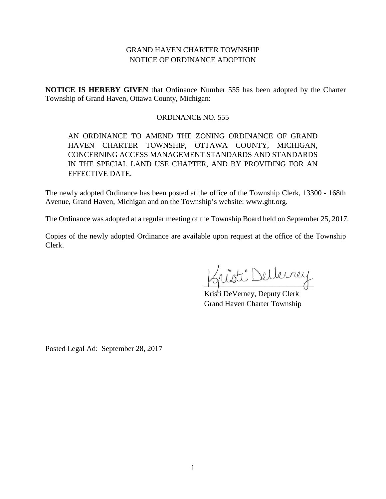# GRAND HAVEN CHARTER TOWNSHIP NOTICE OF ORDINANCE ADOPTION

**NOTICE IS HEREBY GIVEN** that Ordinance Number 555 has been adopted by the Charter Township of Grand Haven, Ottawa County, Michigan:

### ORDINANCE NO. 555

AN ORDINANCE TO AMEND THE ZONING ORDINANCE OF GRAND HAVEN CHARTER TOWNSHIP, OTTAWA COUNTY, MICHIGAN, CONCERNING ACCESS MANAGEMENT STANDARDS AND STANDARDS IN THE SPECIAL LAND USE CHAPTER, AND BY PROVIDING FOR AN EFFECTIVE DATE.

The newly adopted Ordinance has been posted at the office of the Township Clerk, 13300 - 168th Avenue, Grand Haven, Michigan and on the Township's website: www.ght.org.

The Ordinance was adopted at a regular meeting of the Township Board held on September 25, 2017.

Copies of the newly adopted Ordinance are available upon request at the office of the Township Clerk.

nisti Dellerrey

Kristi DeVerney, Deputy Clerk Grand Haven Charter Township

Posted Legal Ad: September 28, 2017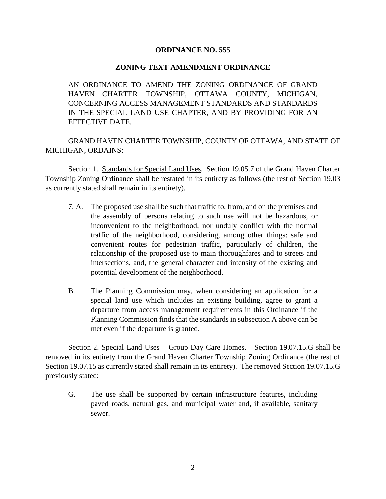## **ORDINANCE NO. 555**

## **ZONING TEXT AMENDMENT ORDINANCE**

AN ORDINANCE TO AMEND THE ZONING ORDINANCE OF GRAND HAVEN CHARTER TOWNSHIP, OTTAWA COUNTY, MICHIGAN, CONCERNING ACCESS MANAGEMENT STANDARDS AND STANDARDS IN THE SPECIAL LAND USE CHAPTER, AND BY PROVIDING FOR AN EFFECTIVE DATE.

GRAND HAVEN CHARTER TOWNSHIP, COUNTY OF OTTAWA, AND STATE OF MICHIGAN, ORDAINS:

Section 1. Standards for Special Land Uses. Section 19.05.7 of the Grand Haven Charter Township Zoning Ordinance shall be restated in its entirety as follows (the rest of Section 19.03 as currently stated shall remain in its entirety).

- 7. A. The proposed use shall be such that traffic to, from, and on the premises and the assembly of persons relating to such use will not be hazardous, or inconvenient to the neighborhood, nor unduly conflict with the normal traffic of the neighborhood, considering, among other things: safe and convenient routes for pedestrian traffic, particularly of children, the relationship of the proposed use to main thoroughfares and to streets and intersections, and, the general character and intensity of the existing and potential development of the neighborhood.
- B. The Planning Commission may, when considering an application for a special land use which includes an existing building, agree to grant a departure from access management requirements in this Ordinance if the Planning Commission finds that the standards in subsection A above can be met even if the departure is granted.

Section 2. Special Land Uses – Group Day Care Homes. Section 19.07.15.G shall be removed in its entirety from the Grand Haven Charter Township Zoning Ordinance (the rest of Section 19.07.15 as currently stated shall remain in its entirety). The removed Section 19.07.15.G previously stated:

G. The use shall be supported by certain infrastructure features, including paved roads, natural gas, and municipal water and, if available, sanitary sewer.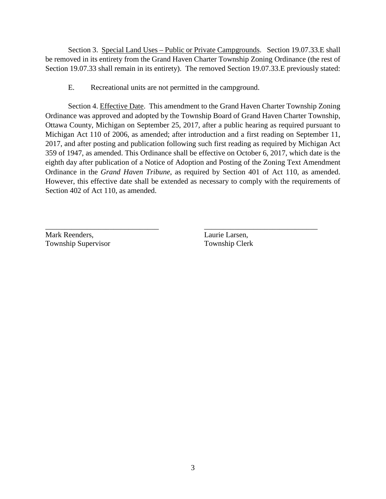Section 3. Special Land Uses – Public or Private Campgrounds. Section 19.07.33. Eshall be removed in its entirety from the Grand Haven Charter Township Zoning Ordinance (the rest of Section 19.07.33 shall remain in its entirety). The removed Section 19.07.33.E previously stated:

E. Recreational units are not permitted in the campground.

Section 4. Effective Date. This amendment to the Grand Haven Charter Township Zoning Ordinance was approved and adopted by the Township Board of Grand Haven Charter Township, Ottawa County, Michigan on September 25, 2017, after a public hearing as required pursuant to Michigan Act 110 of 2006, as amended; after introduction and a first reading on September 11, 2017, and after posting and publication following such first reading as required by Michigan Act 359 of 1947, as amended. This Ordinance shall be effective on October 6, 2017, which date is the eighth day after publication of a Notice of Adoption and Posting of the Zoning Text Amendment Ordinance in the *Grand Haven Tribune*, as required by Section 401 of Act 110, as amended. However, this effective date shall be extended as necessary to comply with the requirements of Section 402 of Act 110, as amended.

\_\_\_\_\_\_\_\_\_\_\_\_\_\_\_\_\_\_\_\_\_\_\_\_\_\_\_\_\_\_ \_\_\_\_\_\_\_\_\_\_\_\_\_\_\_\_\_\_\_\_\_\_\_\_\_\_\_\_\_\_

Mark Reenders, **Laurie Larsen**, **Laurie Larsen**, Township Supervisor Township Clerk